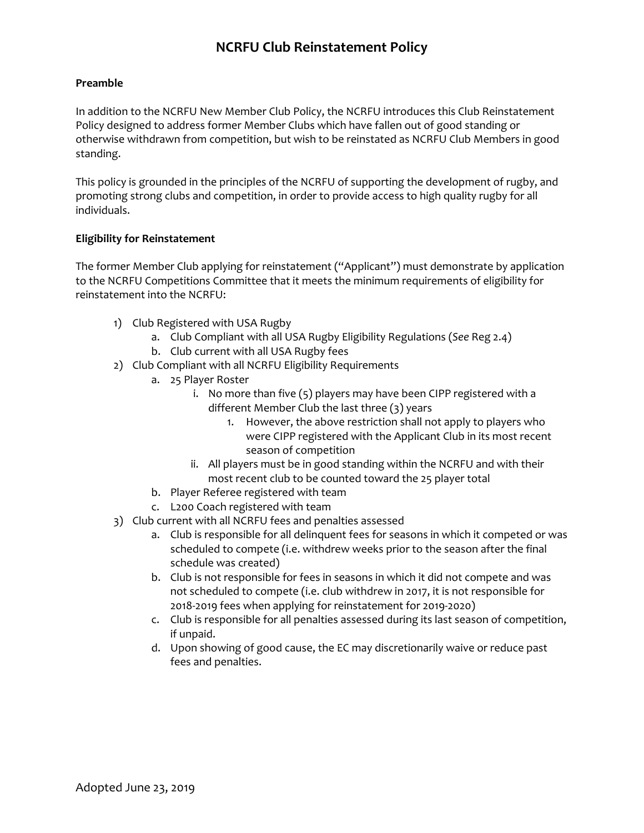# **NCRFU Club Reinstatement Policy**

### **Preamble**

In addition to the NCRFU New Member Club Policy, the NCRFU introduces this Club Reinstatement Policy designed to address former Member Clubs which have fallen out of good standing or otherwise withdrawn from competition, but wish to be reinstated as NCRFU Club Members in good standing.

This policy is grounded in the principles of the NCRFU of supporting the development of rugby, and promoting strong clubs and competition, in order to provide access to high quality rugby for all individuals.

#### **Eligibility for Reinstatement**

The former Member Club applying for reinstatement ("Applicant") must demonstrate by application to the NCRFU Competitions Committee that it meets the minimum requirements of eligibility for reinstatement into the NCRFU:

- 1) Club Registered with USA Rugby
	- a. Club Compliant with all USA Rugby Eligibility Regulations (*See* Reg 2.4)
	- b. Club current with all USA Rugby fees
- 2) Club Compliant with all NCRFU Eligibility Requirements
	- a. 25 Player Roster
		- i. No more than five (5) players may have been CIPP registered with a different Member Club the last three (3) years
			- 1. However, the above restriction shall not apply to players who were CIPP registered with the Applicant Club in its most recent season of competition
		- ii. All players must be in good standing within the NCRFU and with their most recent club to be counted toward the 25 player total
	- b. Player Referee registered with team
	- c. L200 Coach registered with team
- 3) Club current with all NCRFU fees and penalties assessed
	- a. Club is responsible for all delinquent fees for seasons in which it competed or was scheduled to compete (i.e. withdrew weeks prior to the season after the final schedule was created)
	- b. Club is not responsible for fees in seasons in which it did not compete and was not scheduled to compete (i.e. club withdrew in 2017, it is not responsible for 2018-2019 fees when applying for reinstatement for 2019-2020)
	- c. Club is responsible for all penalties assessed during its last season of competition, if unpaid.
	- d. Upon showing of good cause, the EC may discretionarily waive or reduce past fees and penalties.